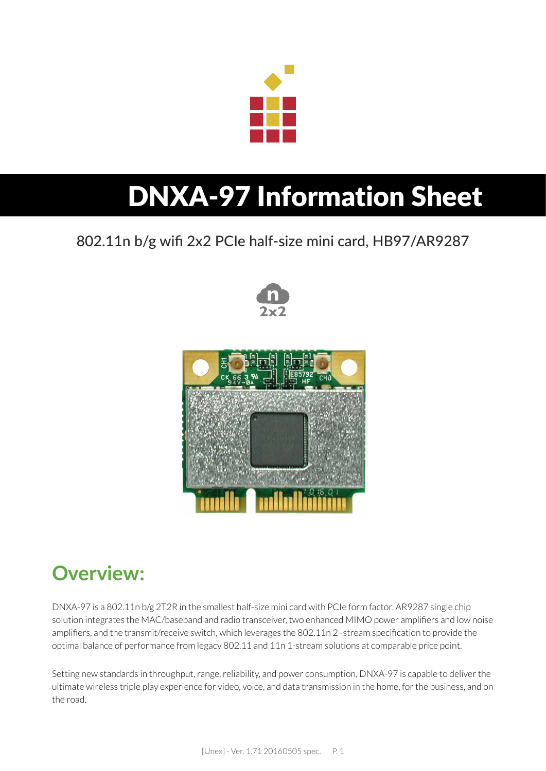

# DNXA-97 Information Sheet

### 802.11n b/g wifi 2x2 PCIe half-size mini card, HB97/AR9287





### **Overview:**

DNXA-97 is a 802.11n b/g 2T2R in the smallest half-size mini card with PCIe form factor. AR9287 single chip solution integrates the MAC/baseband and radio transceiver, two enhanced MIMO power amplifiers and low noise amplifiers, and the transmit/receive switch, which leverages the 802.11n 2–stream specification to provide the optimal balance of performance from legacy 802.11 and 11n 1-stream solutions at comparable price point.

Setting new standards in throughput, range, reliability, and power consumption, DNXA-97 is capable to deliver the ultimate wireless triple play experience for video, voice, and data transmission in the home, for the business, and on the road.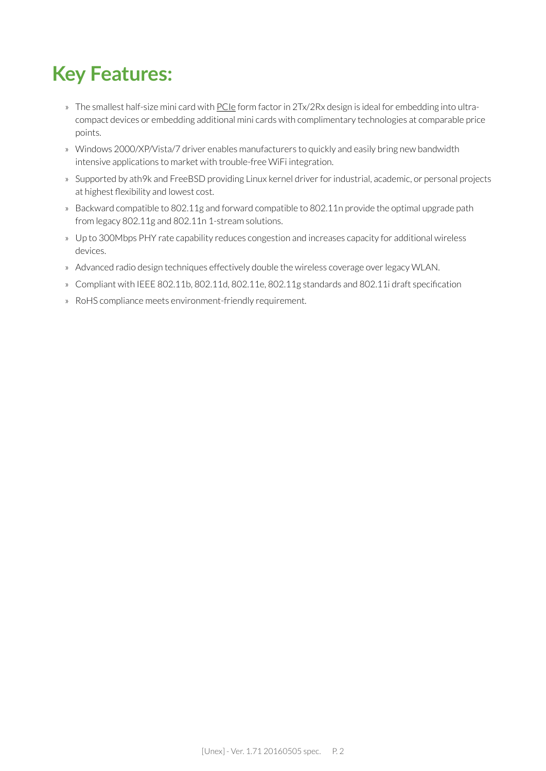### **Key Features:**

- » The smallest half-size mini card with [PCIe](http://www.pcisig.com/specifications/pciexpress/base#mini1.2) form factor in 2Tx/2Rx design is ideal for embedding into ultracompact devices or embedding additional mini cards with complimentary technologies at comparable price points.
- » Windows 2000/XP/Vista/7 driver enables manufacturers to quickly and easily bring new bandwidth intensive applications to market with trouble-free WiFi integration.
- » Supported by ath9k and FreeBSD providing Linux kernel driver for industrial, academic, or personal projects at highest flexibility and lowest cost.
- » Backward compatible to 802.11g and forward compatible to 802.11n provide the optimal upgrade path from legacy 802.11g and 802.11n 1-stream solutions.
- » Up to 300Mbps PHY rate capability reduces congestion and increases capacity for additional wireless devices.
- » Advanced radio design techniques effectively double the wireless coverage over legacy WLAN.
- » Compliant with IEEE 802.11b, 802.11d, 802.11e, 802.11g standards and 802.11i draft specification
- » RoHS compliance meets environment-friendly requirement.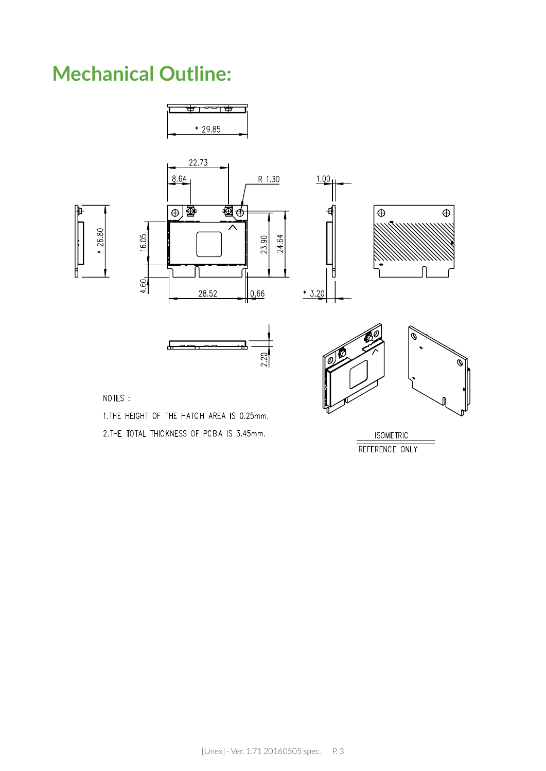### **Mechanical Outline:**



2. THE TOTAL THICKNESS OF PCBA IS 3.45mm.

**ISOMETRIC** REFERENCE ONLY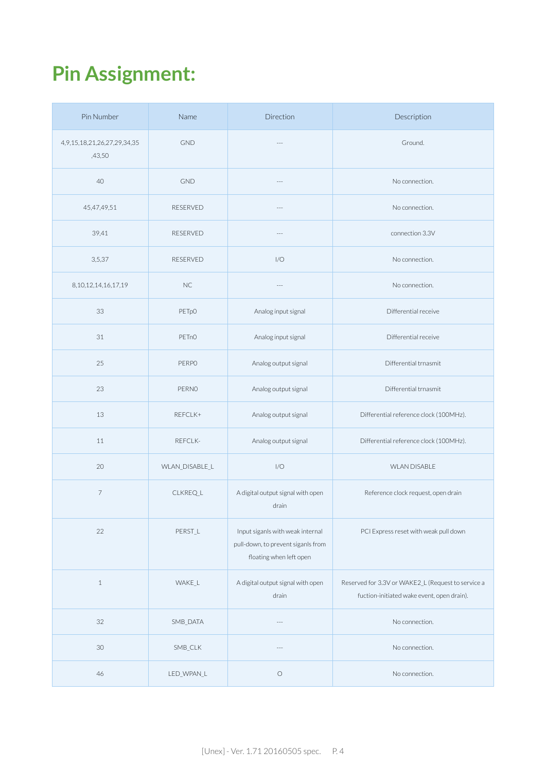## **Pin Assignment:**

| Pin Number                                     | Name              | Direction                                                                                         | Description                                                                                      |
|------------------------------------------------|-------------------|---------------------------------------------------------------------------------------------------|--------------------------------------------------------------------------------------------------|
| 4, 9, 15, 18, 21, 26, 27, 29, 34, 35<br>,43,50 | <b>GND</b>        | $\sim$                                                                                            | Ground.                                                                                          |
| 40                                             | <b>GND</b>        | $---$                                                                                             | No connection.                                                                                   |
| 45,47,49,51                                    | <b>RESERVED</b>   | $---$                                                                                             | No connection.                                                                                   |
| 39,41                                          | <b>RESERVED</b>   | $- - -$                                                                                           | connection 3.3V                                                                                  |
| 3,5,37                                         | <b>RESERVED</b>   | 1/O                                                                                               | No connection.                                                                                   |
| 8, 10, 12, 14, 16, 17, 19                      | NC                | $\overline{a}$                                                                                    | No connection.                                                                                   |
| 33                                             | PETp0             | Analog input signal                                                                               | Differential receive                                                                             |
| 31                                             | PET <sub>nO</sub> | Analog input signal                                                                               | Differential receive                                                                             |
| 25                                             | <b>PERPO</b>      | Analog output signal                                                                              | Differential trnasmit                                                                            |
| 23                                             | PERNO             | Analog output signal                                                                              | Differential trnasmit                                                                            |
| 13                                             | REFCLK+           | Analog output signal                                                                              | Differential reference clock (100MHz).                                                           |
| 11                                             | REFCLK-           | Analog output signal                                                                              | Differential reference clock (100MHz).                                                           |
| 20                                             | WLAN DISABLE L    | 1/O                                                                                               | <b>WLAN DISABLE</b>                                                                              |
| $\overline{7}$                                 | CLKREQ_L          | A digital output signal with open<br>drain                                                        | Reference clock request, open drain                                                              |
| 22                                             | PERST_L           | Input siganls with weak internal<br>pull-down, to prevent siganls from<br>floating when left open | PCI Express reset with weak pull down                                                            |
| $\mathbf{1}$                                   | WAKE_L            | A digital output signal with open<br>drain                                                        | Reserved for 3.3V or WAKE2_L (Request to service a<br>fuction-initiated wake event, open drain). |
| 32                                             | SMB_DATA          |                                                                                                   | No connection.                                                                                   |
| 30                                             | SMB_CLK           |                                                                                                   | No connection.                                                                                   |
| 46                                             | LED_WPAN_L        | $\bigcirc$                                                                                        | No connection.                                                                                   |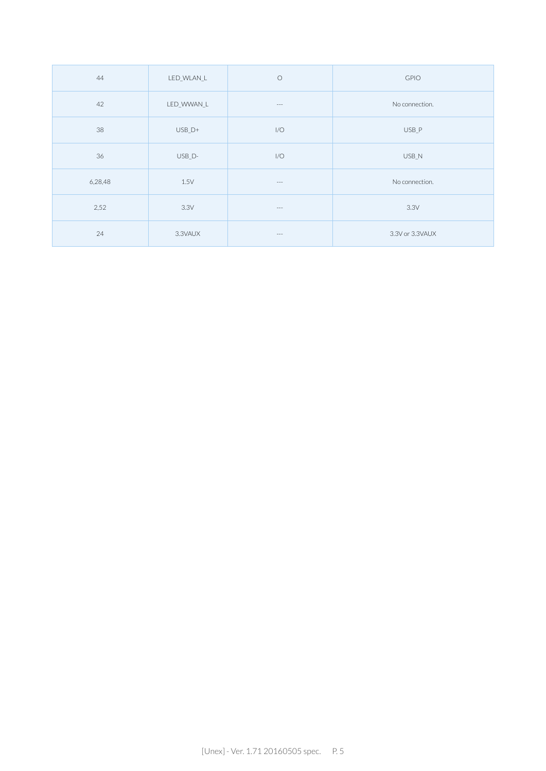| 44      | LED_WLAN_L | $\circ$              | <b>GPIO</b>     |
|---------|------------|----------------------|-----------------|
| 42      | LED_WWAN_L | $\cdots$             | No connection.  |
| 38      | USB D+     | 1/O                  | USB_P           |
| 36      | USB_D-     | 1/O                  | USB_N           |
| 6,28,48 | 1.5V       | $\cdots$             | No connection.  |
| 2,52    | 3.3V       | $\sim$ $\sim$ $\sim$ | 3.3V            |
| 24      | 3.3VAUX    | $\sim$ $\sim$ $\sim$ | 3.3V or 3.3VAUX |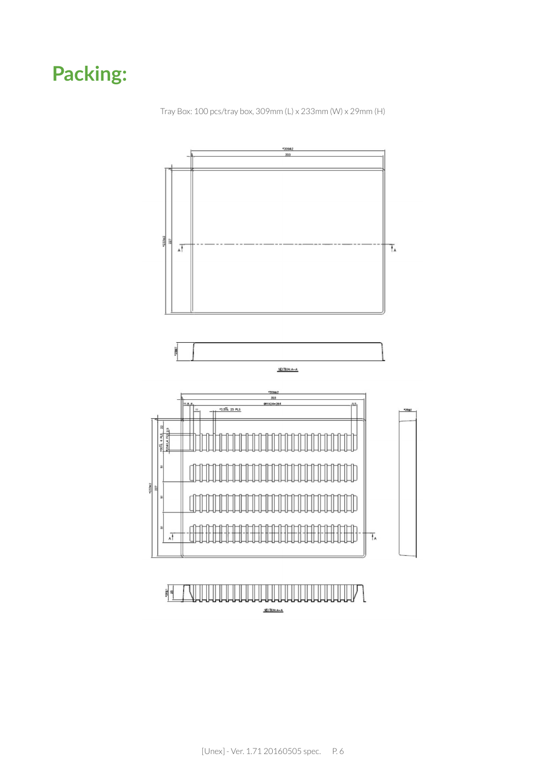### **Packing:**

Tray Box: 100 pcs/tray box, 309mm (L) x 233mm (W) x 29mm (H)

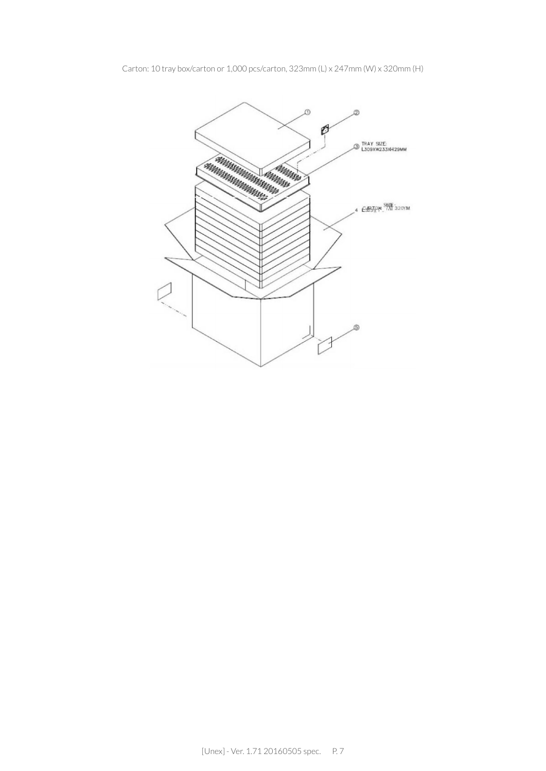Carton: 10 tray box/carton or 1,000 pcs/carton, 323mm (L) x 247mm (W) x 320mm (H)

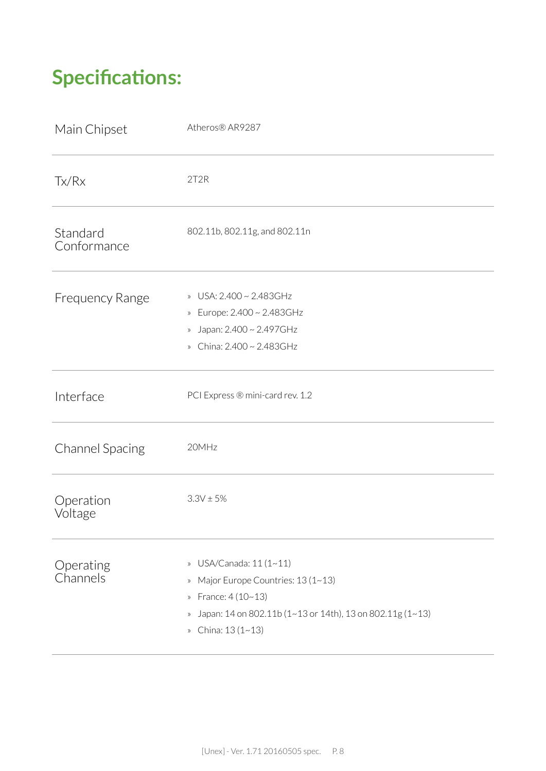### **Specifications:**

| Main Chipset            | Atheros® AR9287                                                                                                                                                                                |
|-------------------------|------------------------------------------------------------------------------------------------------------------------------------------------------------------------------------------------|
| Tx/Rx                   | 2T2R                                                                                                                                                                                           |
| Standard<br>Conformance | 802.11b, 802.11g, and 802.11n                                                                                                                                                                  |
| <b>Frequency Range</b>  | » USA: 2.400 ~ 2.483GHz<br>» Europe: 2.400 ~ 2.483GHz<br>» Japan: 2.400 ~ 2.497GHz<br>» China: 2.400 ~ 2.483GHz                                                                                |
| Interface               | PCI Express ® mini-card rev. 1.2                                                                                                                                                               |
| <b>Channel Spacing</b>  | 20MHz                                                                                                                                                                                          |
| Operation<br>Voltage    | $3.3V \pm 5%$                                                                                                                                                                                  |
| Operating<br>Channels   | » USA/Canada: 11 (1~11)<br>» Major Europe Countries: 13 (1~13)<br>» France: 4 (10~13)<br>Japan: 14 on 802.11b (1~13 or 14th), 13 on 802.11g (1~13)<br>$\rangle\!\rangle$<br>» China: 13 (1~13) |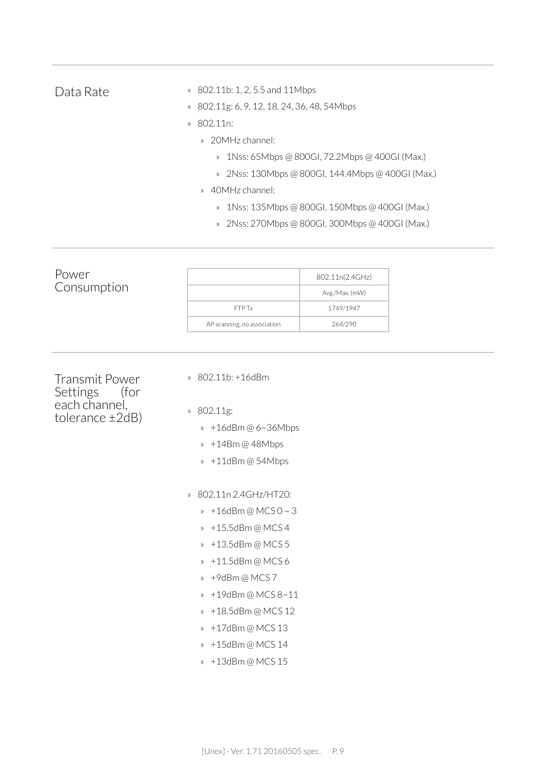| Data Rate                                                                           | 802.11b: 1, 2, 5.5 and 11Mbps<br>$\rangle\!\rangle$<br>802.11g: 6, 9, 12, 18, 24, 36, 48, 54Mbps<br>$\rangle\!\rangle$<br>802.11n:<br>$\mathcal{D}$<br>» 20MHz channel:<br>1Nss: 65Mbps @ 800GI, 72.2Mbps @ 400GI (Max.)<br>$\rangle\!\rangle$<br>2Nss: 130Mbps @ 800GI, 144.4Mbps @ 400GI (Max.)<br>$\rangle\!\rangle$<br>40MHz channel:<br>$\rangle\!\rangle$<br>1Nss: 135Mbps @ 800GI, 150Mbps @ 400GI (Max.)<br>$\rangle\!\rangle$<br>2Nss: 270Mbps @ 800GI, 300Mbps @ 400GI (Max.)<br>$\rangle\!\rangle$ |                                                           |
|-------------------------------------------------------------------------------------|---------------------------------------------------------------------------------------------------------------------------------------------------------------------------------------------------------------------------------------------------------------------------------------------------------------------------------------------------------------------------------------------------------------------------------------------------------------------------------------------------------------|-----------------------------------------------------------|
| Power<br>Consumption                                                                | FTP Tx<br>AP scanning, no association                                                                                                                                                                                                                                                                                                                                                                                                                                                                         | 802.11n(2.4GHz)<br>Avg./Max. (mW)<br>1749/1947<br>264/290 |
| <b>Transmit Power</b><br>Settings<br>(for<br>each channel,<br>tolerance $\pm 2dB$ ) | 802.11b: +16dBm<br>$\rangle$<br>802.11g:<br>$\rangle\!\rangle$<br>+16dBm@6~36Mbps<br>$\rangle\!\rangle$<br>+14Bm @ 48Mbps<br>$\rangle$<br>» +11dBm@54Mbps<br>802.11n 2.4GHz/HT20:<br>$\mathcal{D}$<br>$* + 16$ dBm @ MCS 0 ~ 3<br>+15.5dBm @ MCS 4<br>$\rangle\!\rangle$<br>» +13.5dBm@MCS5                                                                                                                                                                                                                   |                                                           |

» +11.5dBm @ MCS 6

- » +9dBm @ MCS 7
- » +19dBm @ MCS 8~11
- » +18.5dBm @ MCS 12
- » +17dBm @ MCS 13
- » +15dBm @ MCS 14
- » +13dBm @ MCS 15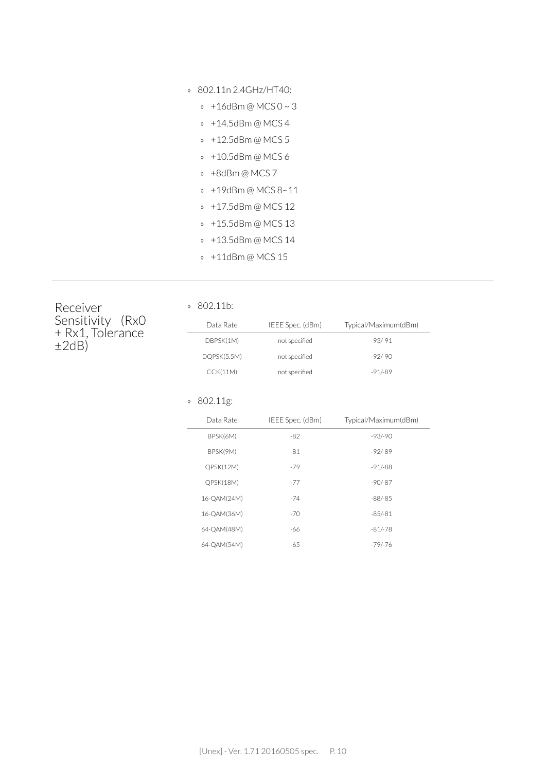- » 802.11n 2.4GHz/HT40:
	- » +16dBm @ MCS 0 ~ 3
	- » +14.5dBm @ MCS 4
	- » +12.5dBm @ MCS 5
	- » +10.5dBm @ MCS 6
	- » +8dBm @ MCS 7
	- » +19dBm @ MCS 8~11
	- » +17.5dBm @ MCS 12
	- » +15.5dBm @ MCS 13
	- » +13.5dBm @ MCS 14
	- » +11dBm @ MCS 15

Receiver Sensitivity (Rx0 + Rx1, Tolerance  $\pm 2dB$ )

| Data Rate   | IEEE Spec. (dBm) | Typical/Maximum(dBm) |
|-------------|------------------|----------------------|
| DBPSK(1M)   | not specified    | $-93/91$             |
| DQPSK(5.5M) | not specified    | $-92/90$             |
| CCK(11M)    | not specified    | $-91/89$             |

#### » 802.11g:

» 802.11b:

| Data Rate   | IEEE Spec. (dBm) | Typical/Maximum(dBm) |
|-------------|------------------|----------------------|
| BPSK(6M)    | $-82$            | $-93/ - 90$          |
| BPSK(9M)    | -81              | $-92/-89$            |
| QPSK(12M)   | $-79$            | $-91/-88$            |
| QPSK(18M)   | $-77$            | $-90/-87$            |
| 16-QAM(24M) | $-74$            | $-88/ -85$           |
| 16-OAM(36M) | $-70$            | $-85/ - 81$          |
| 64-QAM(48M) | -66              | $-81/-78$            |
| 64-QAM(54M) | $-65$            | $-79/ - 76$          |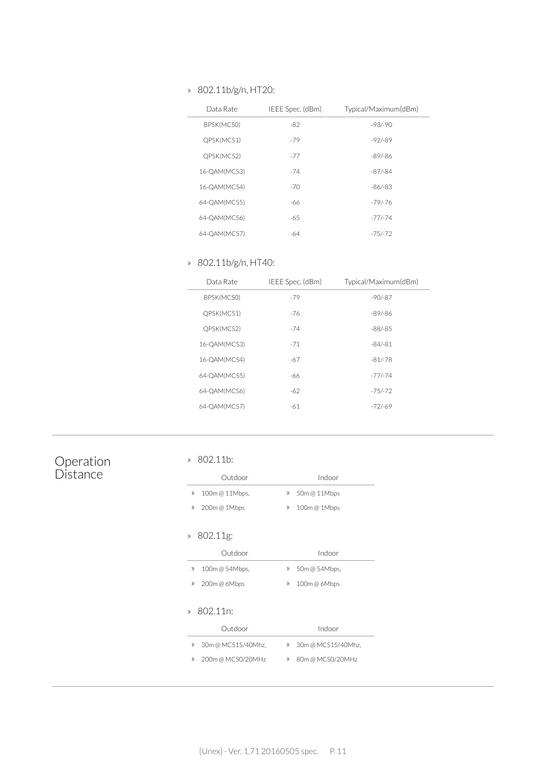#### » 802.11b/g/n, HT20:

| Data Rate    | IEEE Spec. (dBm) | Typical/Maximum(dBm) |
|--------------|------------------|----------------------|
| BPSK(MCSO)   | $-82$            | $-93/-90$            |
| QPSK(MCS1)   | $-79$            | $-92/-89$            |
| QPSK(MCS2)   | $-77$            | $-89/-86$            |
| 16-QAM(MCS3) | $-74$            | $-87/-84$            |
| 16-QAM(MCS4) | $-70$            | $-86/-83$            |
| 64-QAM(MCS5) | -66              | $-79/-76$            |
| 64-OAM(MCS6) | -65              | $-77/-74$            |
| 64-QAM(MCS7) | -64              | $-75/-72$            |

#### » 802.11b/g/n, HT40:

| Data Rate    | IEEE Spec. (dBm) | Typical/Maximum(dBm) |
|--------------|------------------|----------------------|
| BPSK(MCSO)   | $-79$            | $-90/-87$            |
| QPSK(MCS1)   | $-76$            | $-89/-86$            |
| QPSK(MCS2)   | $-74$            | -88/-85              |
| 16-OAM(MCS3) | $-71$            | $-84/ - 81$          |
| 16-QAM(MCS4) | -67              | $-81/-78$            |
| 64-OAM(MCS5) | -66              | $-77/ -74$           |
| 64-OAM(MCS6) | -62              | $-75/-72$            |
| 64-QAM(MCS7) | -61              | $-72/-69$            |
|              |                  |                      |

#### Operation **Distance**

#### » 802.11b:

|                    | Outdoor               |                    | Indoor             |
|--------------------|-----------------------|--------------------|--------------------|
| $\gg$              | 100m @ 11Mbps,        | $\rangle\!\rangle$ | 50m @ 11Mbps       |
| $\rangle$          | 200m@ 1Mbps           | $\rangle\!\rangle$ | 100m@ 1Mbps        |
| $\rangle\!\rangle$ | 802.11g:              |                    |                    |
|                    | Outdoor               |                    | Indoor             |
| $\rangle$          | 100m @ 54Mbps,        | $\rangle\!\rangle$ | 50m @ 54Mbps,      |
| $\rangle$          | 200m@6Mbps            | $\rangle\!\rangle$ | 100m @ 6Mbps       |
| $\mathcal{V}$      | 802.11 <sub>n</sub> : |                    |                    |
|                    | Outdoor               |                    | Indoor             |
| $\rangle$          | 30m @ MCS15/40Mhz,    | $\rangle\!\rangle$ | 30m @ MCS15/40Mhz, |
| $\rangle$          | 200m @ MCS0/20MHz     | $\rangle\!\rangle$ | 80m @ MCS0/20MHz   |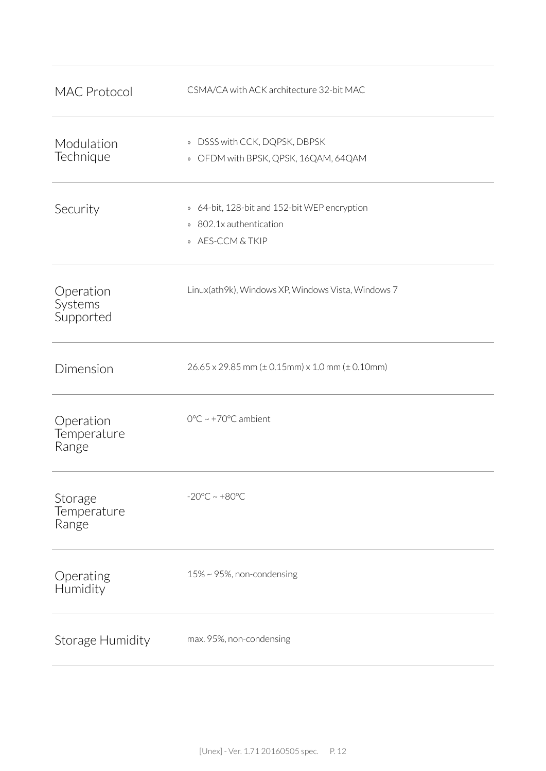| <b>MAC Protocol</b>               | CSMA/CA with ACK architecture 32-bit MAC                                                    |
|-----------------------------------|---------------------------------------------------------------------------------------------|
| Modulation<br>Technique           | » DSSS with CCK, DQPSK, DBPSK<br>» OFDM with BPSK, QPSK, 16QAM, 64QAM                       |
| Security                          | » 64-bit, 128-bit and 152-bit WEP encryption<br>» 802.1x authentication<br>» AES-CCM & TKIP |
| Operation<br>Systems<br>Supported | Linux(ath9k), Windows XP, Windows Vista, Windows 7                                          |
| Dimension                         | $26.65 \times 29.85$ mm ( $\pm$ 0.15mm) x 1.0 mm ( $\pm$ 0.10mm)                            |
| Operation<br>Temperature<br>Range | $0^{\circ}$ C ~ +70 $^{\circ}$ C ambient                                                    |
| Storage<br>Temperature<br>Range   | $-20^{\circ}$ C ~ $+80^{\circ}$ C                                                           |
| Operating<br>Humidity             | 15% ~ 95%, non-condensing                                                                   |
| Storage Humidity                  | max. 95%, non-condensing                                                                    |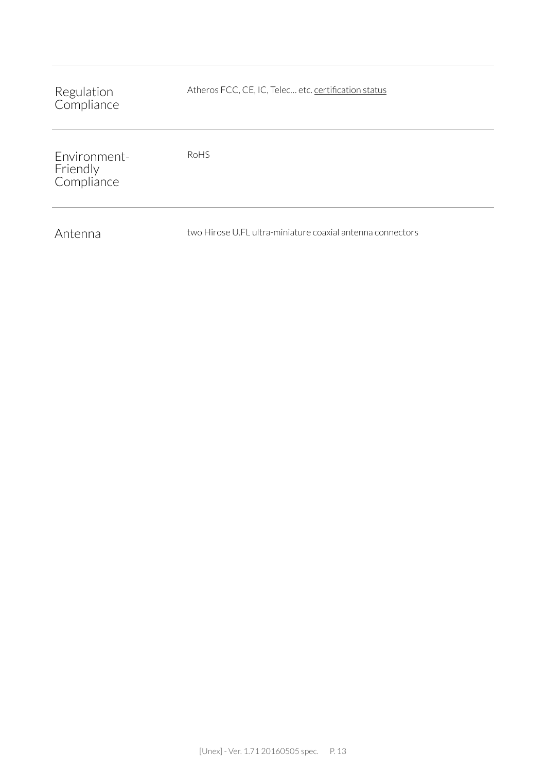| Regulation<br>Compliance               | Atheros FCC, CE, IC, Telec etc. certification status       |
|----------------------------------------|------------------------------------------------------------|
| Environment-<br>Friendly<br>Compliance | RoHS                                                       |
| Antenna                                | two Hirose U.FL ultra-miniature coaxial antenna connectors |